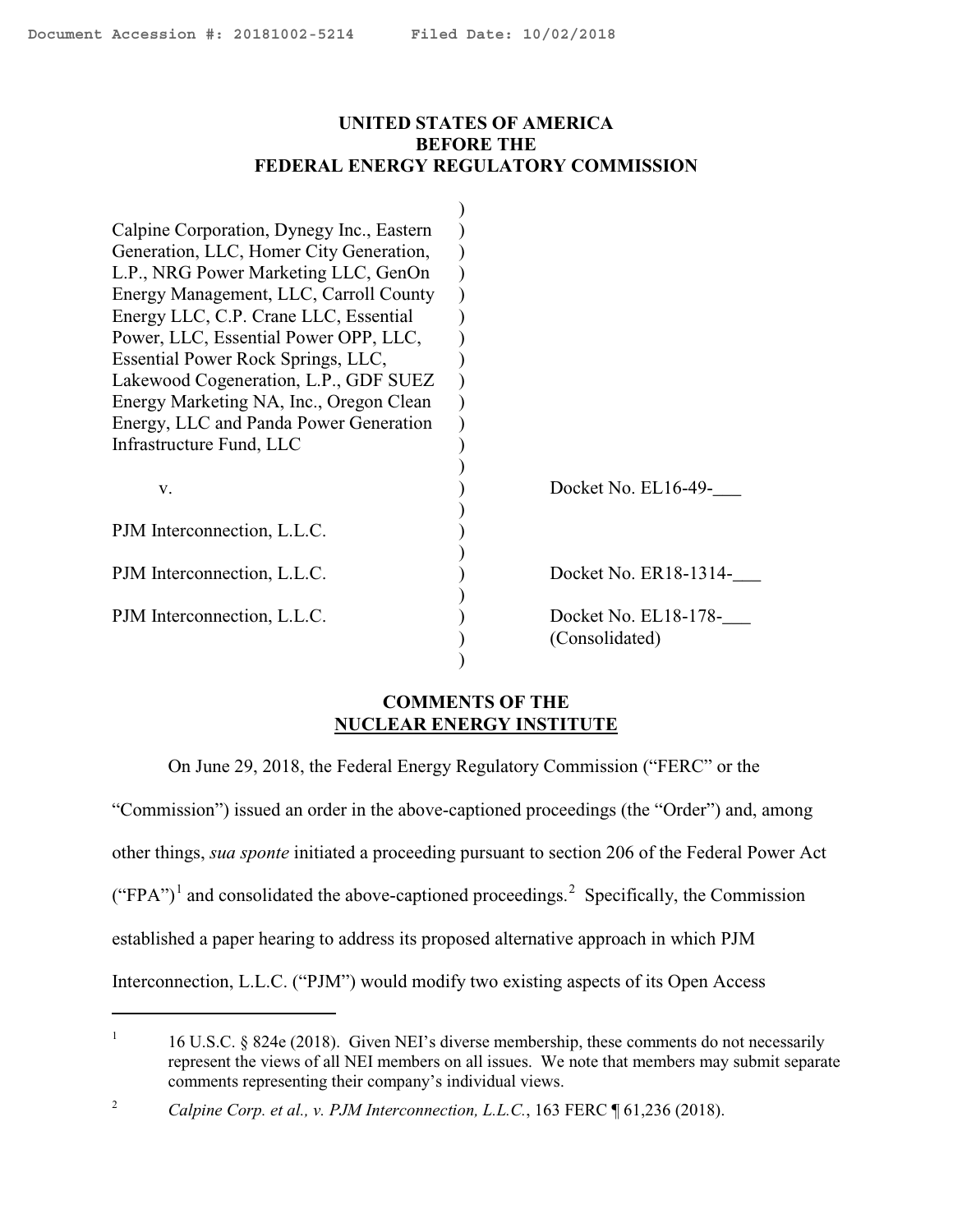$\overline{a}$ 

## <span id="page-0-2"></span>**UNITED STATES OF AMERICA BEFORE THE FEDERAL ENERGY REGULATORY COMMISSION**

| Calpine Corporation, Dynegy Inc., Eastern |                       |
|-------------------------------------------|-----------------------|
| Generation, LLC, Homer City Generation,   |                       |
| L.P., NRG Power Marketing LLC, GenOn      |                       |
| Energy Management, LLC, Carroll County    |                       |
| Energy LLC, C.P. Crane LLC, Essential     |                       |
| Power, LLC, Essential Power OPP, LLC,     |                       |
| Essential Power Rock Springs, LLC,        |                       |
| Lakewood Cogeneration, L.P., GDF SUEZ     |                       |
| Energy Marketing NA, Inc., Oregon Clean   |                       |
| Energy, LLC and Panda Power Generation    |                       |
| Infrastructure Fund, LLC                  |                       |
|                                           |                       |
| V.                                        | Docket No. EL16-49-   |
|                                           |                       |
| PJM Interconnection, L.L.C.               |                       |
|                                           |                       |
| PJM Interconnection, L.L.C.               | Docket No. ER18-1314- |
|                                           |                       |
| PJM Interconnection, L.L.C.               | Docket No. EL18-178-  |
|                                           | (Consolidated)        |
|                                           |                       |

## **COMMENTS OF THE NUCLEAR ENERGY INSTITUTE**

On June 29, 2018, the Federal Energy Regulatory Commission ("FERC" or the

"Commission") issued an order in the above-captioned proceedings (the "Order") and, among

other things, *sua sponte* initiated a proceeding pursuant to section 206 of the Federal Power Act

 $("FPA")<sup>1</sup>$  $("FPA")<sup>1</sup>$  $("FPA")<sup>1</sup>$  and consolidated the above-captioned proceedings.<sup>[2](#page-0-1)</sup> Specifically, the Commission

established a paper hearing to address its proposed alternative approach in which PJM

Interconnection, L.L.C. ("PJM") would modify two existing aspects of its Open Access

<span id="page-0-0"></span><sup>1</sup> 16 U.S.C. § 824e (2018). Given NEI's diverse membership, these comments do not necessarily represent the views of all NEI members on all issues. We note that members may submit separate comments representing their company's individual views.

<span id="page-0-1"></span><sup>2</sup> *Calpine Corp. et al., v. PJM Interconnection, L.L.C.*, 163 FERC ¶ 61,236 (2018).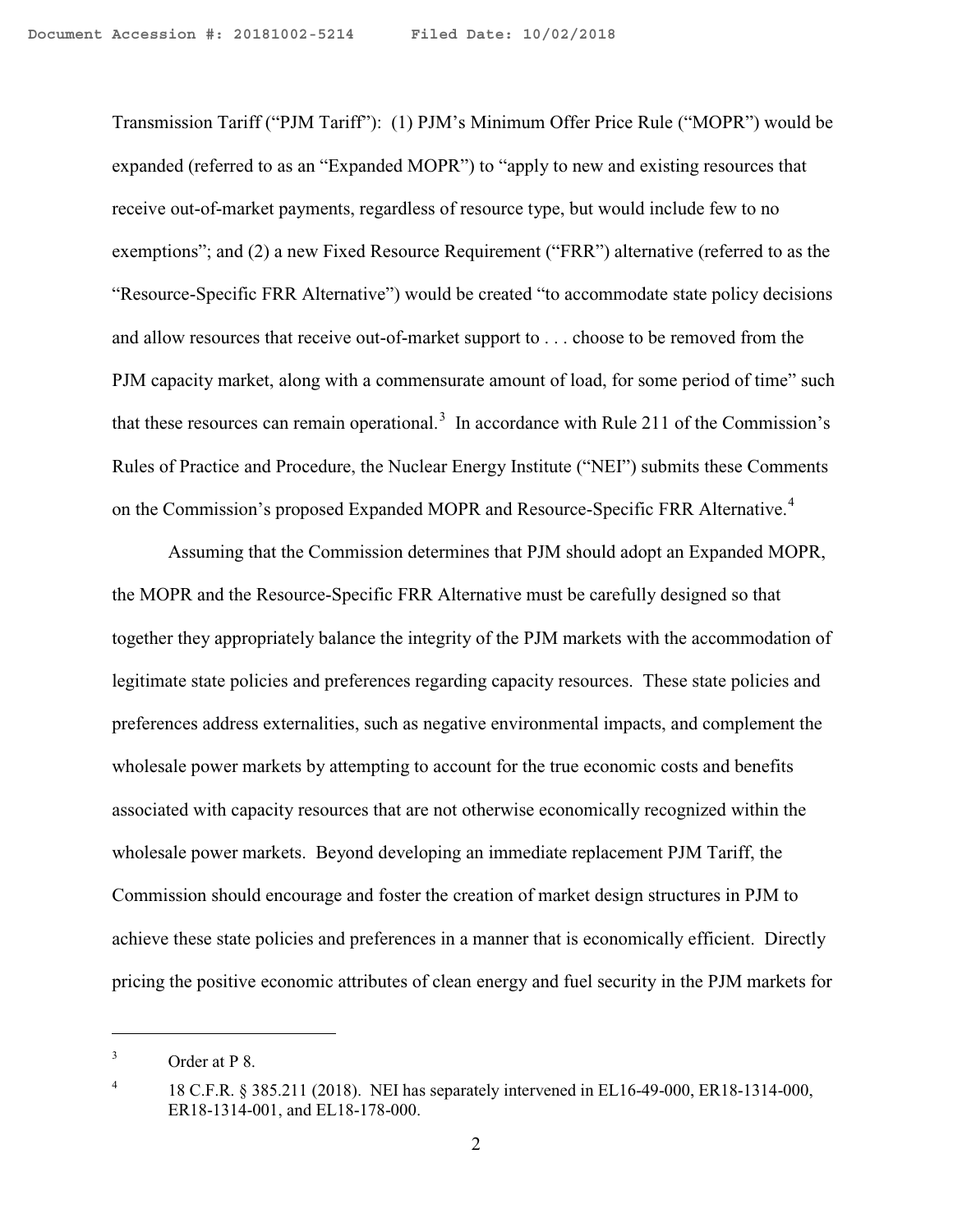Transmission Tariff ("PJM Tariff"): (1) PJM's Minimum Offer Price Rule ("MOPR") would be expanded (referred to as an "Expanded MOPR") to "apply to new and existing resources that receive out-of-market payments, regardless of resource type, but would include few to no exemptions"; and (2) a new Fixed Resource Requirement ("FRR") alternative (referred to as the "Resource-Specific FRR Alternative") would be created "to accommodate state policy decisions and allow resources that receive out-of-market support to . . . choose to be removed from the PJM capacity market, along with a commensurate amount of load, for some period of time" such that these resources can remain operational.<sup>[3](#page-1-0)</sup> In accordance with Rule 211 of the Commission's Rules of Practice and Procedure, the Nuclear Energy Institute ("NEI") submits these Comments on the Commission's proposed Expanded MOPR and Resource-Specific FRR Alternative.<sup>[4](#page-1-1)</sup>

Assuming that the Commission determines that PJM should adopt an Expanded MOPR, the MOPR and the Resource-Specific FRR Alternative must be carefully designed so that together they appropriately balance the integrity of the PJM markets with the accommodation of legitimate state policies and preferences regarding capacity resources. These state policies and preferences address externalities, such as negative environmental impacts, and complement the wholesale power markets by attempting to account for the true economic costs and benefits associated with capacity resources that are not otherwise economically recognized within the wholesale power markets. Beyond developing an immediate replacement PJM Tariff, the Commission should encourage and foster the creation of market design structures in PJM to achieve these state policies and preferences in a manner that is economically efficient. Directly pricing the positive economic attributes of clean energy and fuel security in the PJM markets for

<span id="page-1-0"></span><sup>3</sup> Order at P 8.

<span id="page-1-1"></span><sup>4</sup> 18 C.F.R. § 385.211 (2018). NEI has separately intervened in EL16-49-000, ER18-1314-000, ER18-1314-001, and EL18-178-000.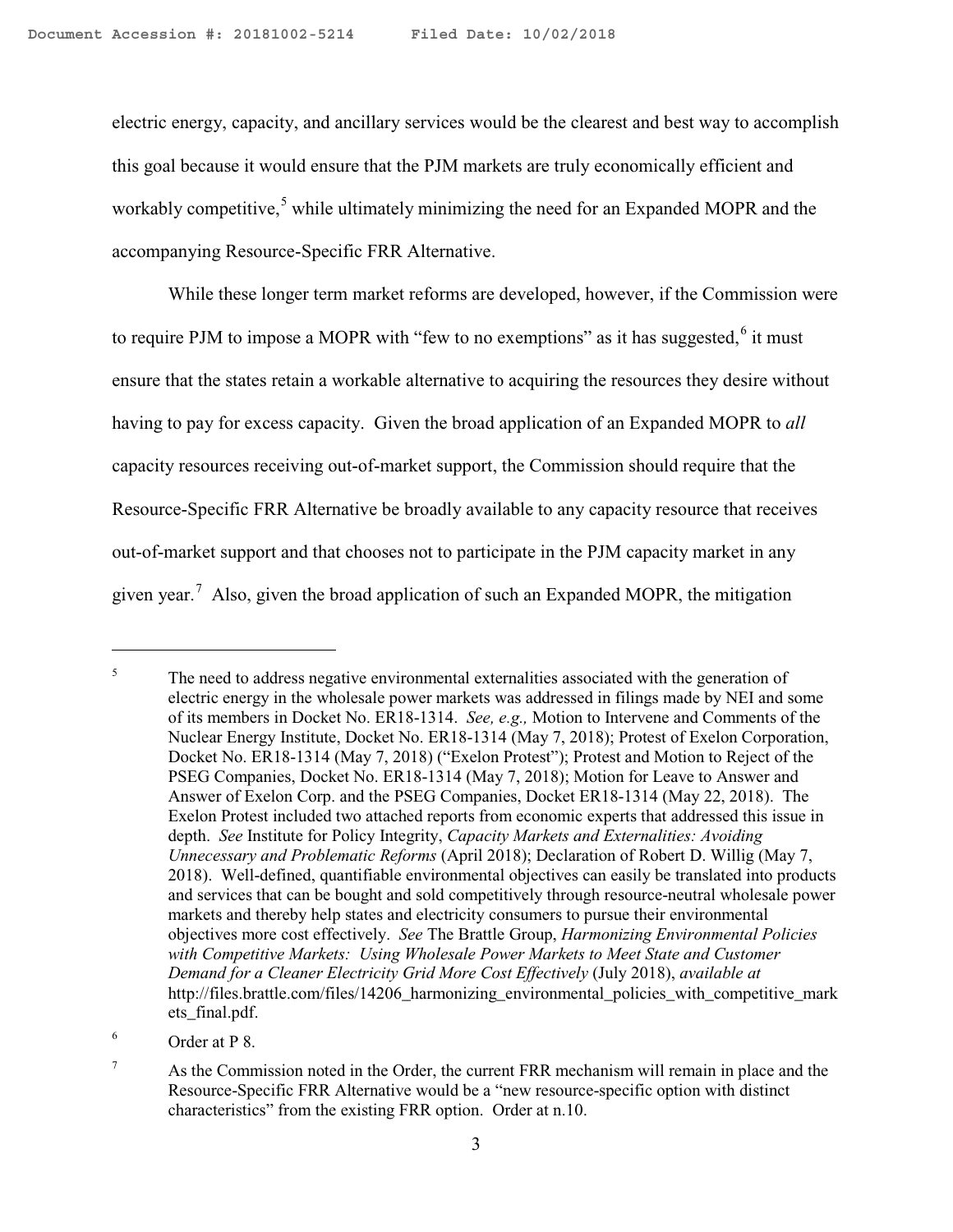electric energy, capacity, and ancillary services would be the clearest and best way to accomplish this goal because it would ensure that the PJM markets are truly economically efficient and workably competitive,<sup>[5](#page-2-0)</sup> while ultimately minimizing the need for an Expanded MOPR and the accompanying Resource-Specific FRR Alternative.

While these longer term market reforms are developed, however, if the Commission were to require PJM to impose a MOPR with "few to no exemptions" as it has suggested, $6$  it must ensure that the states retain a workable alternative to acquiring the resources they desire without having to pay for excess capacity. Given the broad application of an Expanded MOPR to *all*  capacity resources receiving out-of-market support, the Commission should require that the Resource-Specific FRR Alternative be broadly available to any capacity resource that receives out-of-market support and that chooses not to participate in the PJM capacity market in any given year.<sup>[7](#page-2-2)</sup> Also, given the broad application of such an Expanded MOPR, the mitigation

<span id="page-2-0"></span><sup>5</sup> The need to address negative environmental externalities associated with the generation of electric energy in the wholesale power markets was addressed in filings made by NEI and some of its members in Docket No. ER18-1314. *See, e.g.,* Motion to Intervene and Comments of the Nuclear Energy Institute, Docket No. ER18-1314 (May 7, 2018); Protest of Exelon Corporation, Docket No. ER18-1314 (May 7, 2018) ("Exelon Protest"); Protest and Motion to Reject of the PSEG Companies, Docket No. ER18-1314 (May 7, 2018); Motion for Leave to Answer and Answer of Exelon Corp. and the PSEG Companies, Docket ER18-1314 (May 22, 2018). The Exelon Protest included two attached reports from economic experts that addressed this issue in depth. *See* Institute for Policy Integrity, *Capacity Markets and Externalities: Avoiding Unnecessary and Problematic Reforms* (April 2018); Declaration of Robert D. Willig (May 7, 2018). Well-defined, quantifiable environmental objectives can easily be translated into products and services that can be bought and sold competitively through resource-neutral wholesale power markets and thereby help states and electricity consumers to pursue their environmental objectives more cost effectively. *See* The Brattle Group, *Harmonizing Environmental Policies with Competitive Markets: Using Wholesale Power Markets to Meet State and Customer Demand for a Cleaner Electricity Grid More Cost Effectively* (July 2018), *available at* http://files.brattle.com/files/14206\_harmonizing\_environmental\_policies\_with\_competitive\_mark ets\_final.pdf.

<span id="page-2-1"></span><sup>6</sup> Order at P 8.

<span id="page-2-2"></span><sup>7</sup> As the Commission noted in the Order, the current FRR mechanism will remain in place and the Resource-Specific FRR Alternative would be a "new resource-specific option with distinct characteristics" from the existing FRR option. Order at n.10.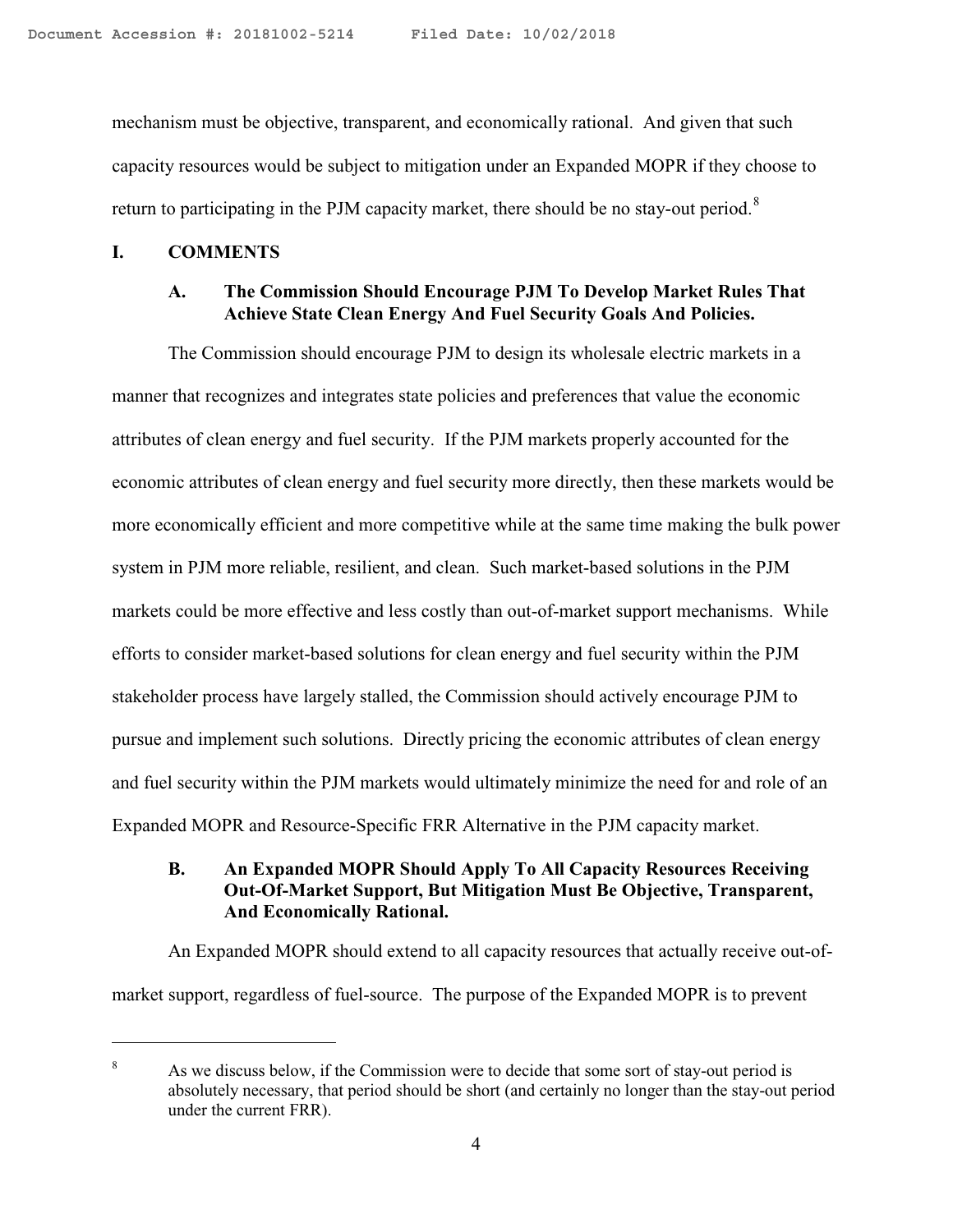mechanism must be objective, transparent, and economically rational. And given that such capacity resources would be subject to mitigation under an Expanded MOPR if they choose to return to participating in the PJM capacity market, there should be no stay-out period. $8$ 

#### **I. COMMENTS**

 $\overline{a}$ 

### **A. The Commission Should Encourage PJM To Develop Market Rules That Achieve State Clean Energy And Fuel Security Goals And Policies.**

The Commission should encourage PJM to design its wholesale electric markets in a manner that recognizes and integrates state policies and preferences that value the economic attributes of clean energy and fuel security. If the PJM markets properly accounted for the economic attributes of clean energy and fuel security more directly, then these markets would be more economically efficient and more competitive while at the same time making the bulk power system in PJM more reliable, resilient, and clean. Such market-based solutions in the PJM markets could be more effective and less costly than out-of-market support mechanisms. While efforts to consider market-based solutions for clean energy and fuel security within the PJM stakeholder process have largely stalled, the Commission should actively encourage PJM to pursue and implement such solutions. Directly pricing the economic attributes of clean energy and fuel security within the PJM markets would ultimately minimize the need for and role of an Expanded MOPR and Resource-Specific FRR Alternative in the PJM capacity market.

## **B. An Expanded MOPR Should Apply To All Capacity Resources Receiving Out-Of-Market Support, But Mitigation Must Be Objective, Transparent, And Economically Rational.**

An Expanded MOPR should extend to all capacity resources that actually receive out-ofmarket support, regardless of fuel-source. The purpose of the Expanded MOPR is to prevent

<span id="page-3-0"></span><sup>8</sup> As we discuss below, if the Commission were to decide that some sort of stay-out period is absolutely necessary, that period should be short (and certainly no longer than the stay-out period under the current FRR).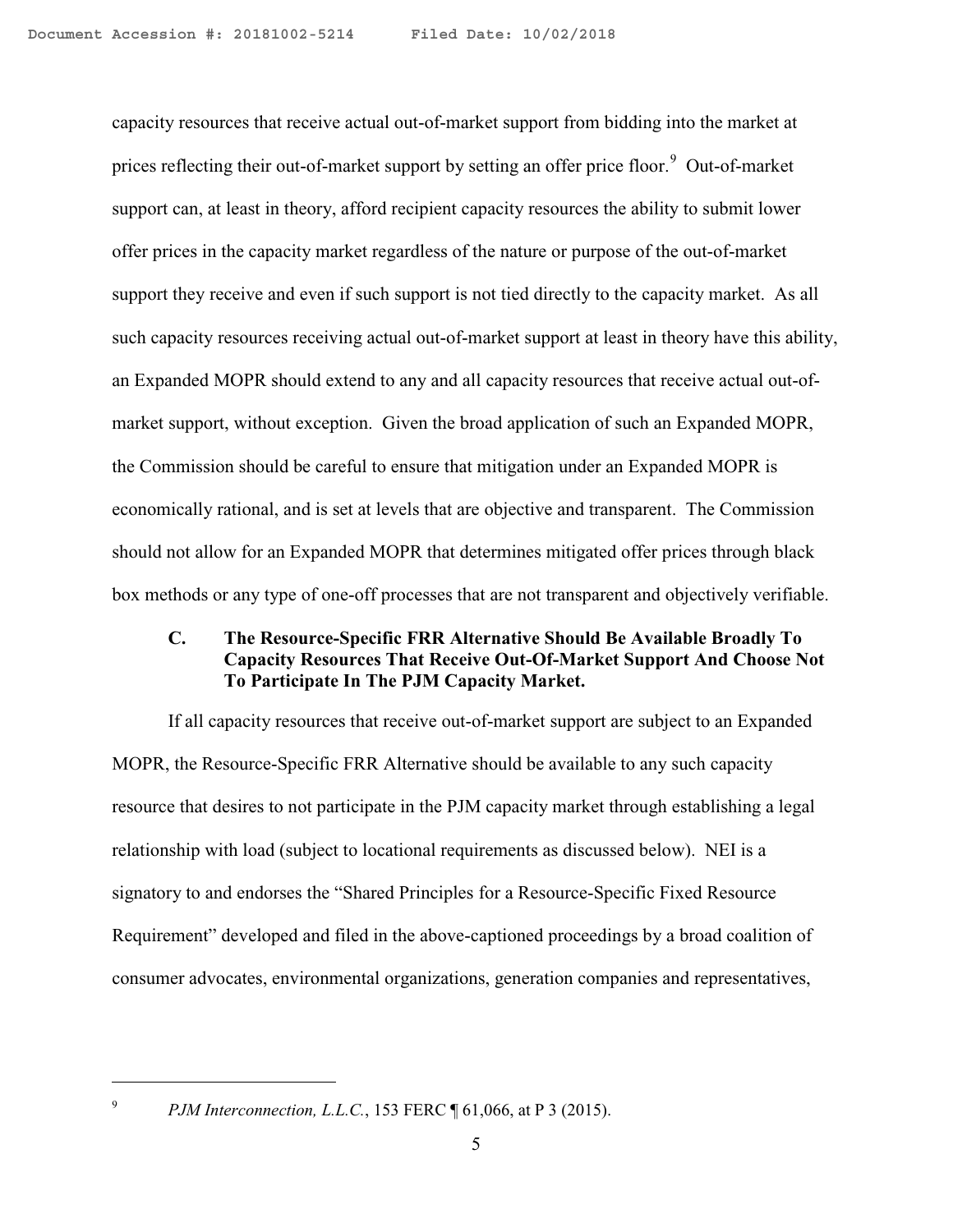capacity resources that receive actual out-of-market support from bidding into the market at prices reflecting their out-of-market support by setting an offer price floor.<sup>[9](#page-4-0)</sup> Out-of-market support can, at least in theory, afford recipient capacity resources the ability to submit lower offer prices in the capacity market regardless of the nature or purpose of the out-of-market support they receive and even if such support is not tied directly to the capacity market. As all such capacity resources receiving actual out-of-market support at least in theory have this ability, an Expanded MOPR should extend to any and all capacity resources that receive actual out-ofmarket support, without exception. Given the broad application of such an Expanded MOPR, the Commission should be careful to ensure that mitigation under an Expanded MOPR is economically rational, and is set at levels that are objective and transparent. The Commission should not allow for an Expanded MOPR that determines mitigated offer prices through black box methods or any type of one-off processes that are not transparent and objectively verifiable.

### **C. The Resource-Specific FRR Alternative Should Be Available Broadly To Capacity Resources That Receive Out-Of-Market Support And Choose Not To Participate In The PJM Capacity Market.**

If all capacity resources that receive out-of-market support are subject to an Expanded MOPR, the Resource-Specific FRR Alternative should be available to any such capacity resource that desires to not participate in the PJM capacity market through establishing a legal relationship with load (subject to locational requirements as discussed below). NEI is a signatory to and endorses the "Shared Principles for a Resource-Specific Fixed Resource Requirement" developed and filed in the above-captioned proceedings by a broad coalition of consumer advocates, environmental organizations, generation companies and representatives,

<span id="page-4-0"></span>*PJM Interconnection, L.L.C.*, 153 FERC ¶ 61,066, at P 3 (2015).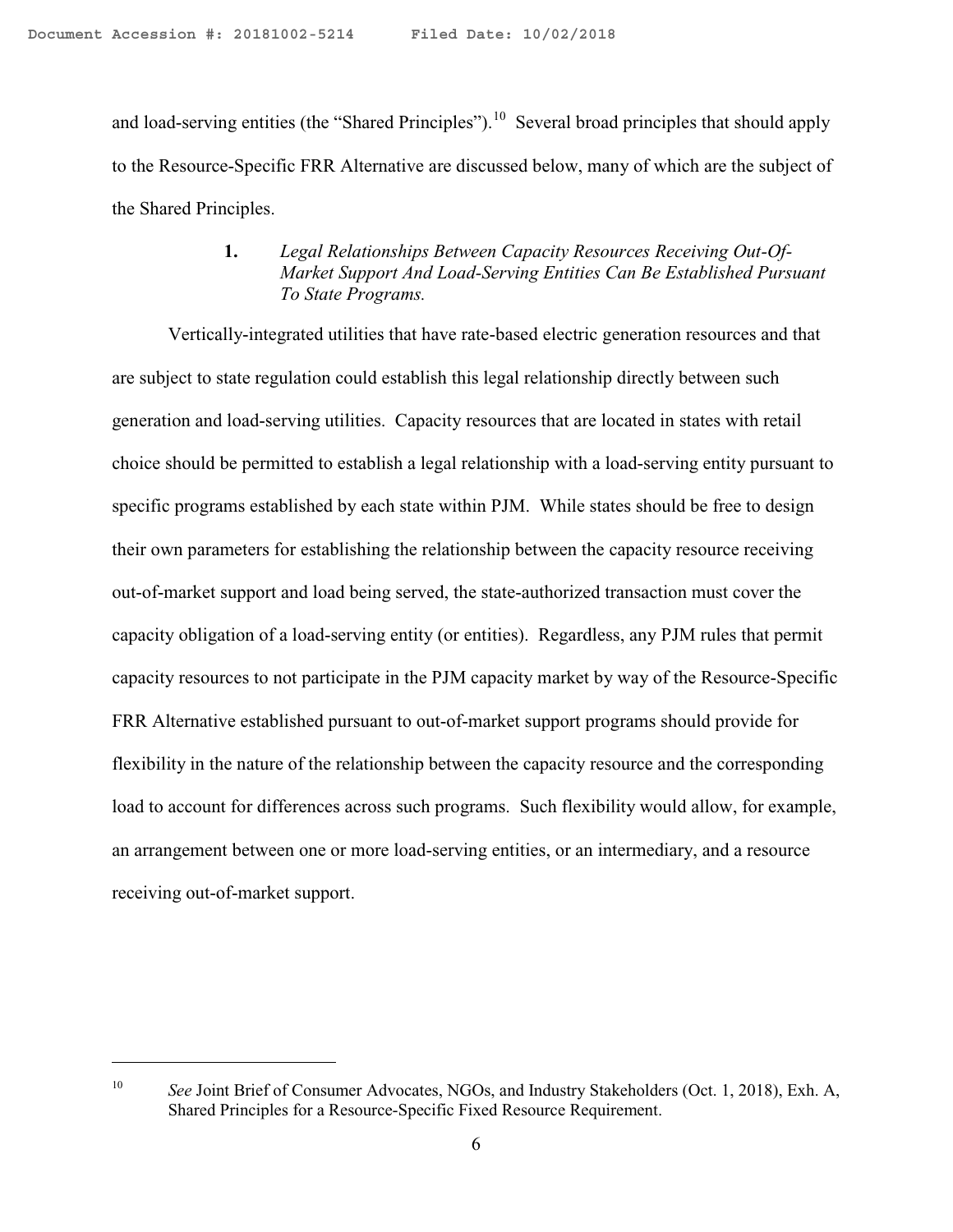and load-serving entities (the "Shared Principles").<sup>[10](#page-5-0)</sup> Several broad principles that should apply to the Resource-Specific FRR Alternative are discussed below, many of which are the subject of the Shared Principles.

## **1.** *Legal Relationships Between Capacity Resources Receiving Out-Of-Market Support And Load-Serving Entities Can Be Established Pursuant To State Programs.*

Vertically-integrated utilities that have rate-based electric generation resources and that are subject to state regulation could establish this legal relationship directly between such generation and load-serving utilities. Capacity resources that are located in states with retail choice should be permitted to establish a legal relationship with a load-serving entity pursuant to specific programs established by each state within PJM. While states should be free to design their own parameters for establishing the relationship between the capacity resource receiving out-of-market support and load being served, the state-authorized transaction must cover the capacity obligation of a load-serving entity (or entities). Regardless, any PJM rules that permit capacity resources to not participate in the PJM capacity market by way of the Resource-Specific FRR Alternative established pursuant to out-of-market support programs should provide for flexibility in the nature of the relationship between the capacity resource and the corresponding load to account for differences across such programs. Such flexibility would allow, for example, an arrangement between one or more load-serving entities, or an intermediary, and a resource receiving out-of-market support.

<span id="page-5-0"></span><sup>&</sup>lt;sup>10</sup> *See Joint Brief of Consumer Advocates, NGOs, and Industry Stakeholders (Oct. 1, 2018), Exh. A,* Shared Principles for a Resource‐Specific Fixed Resource Requirement.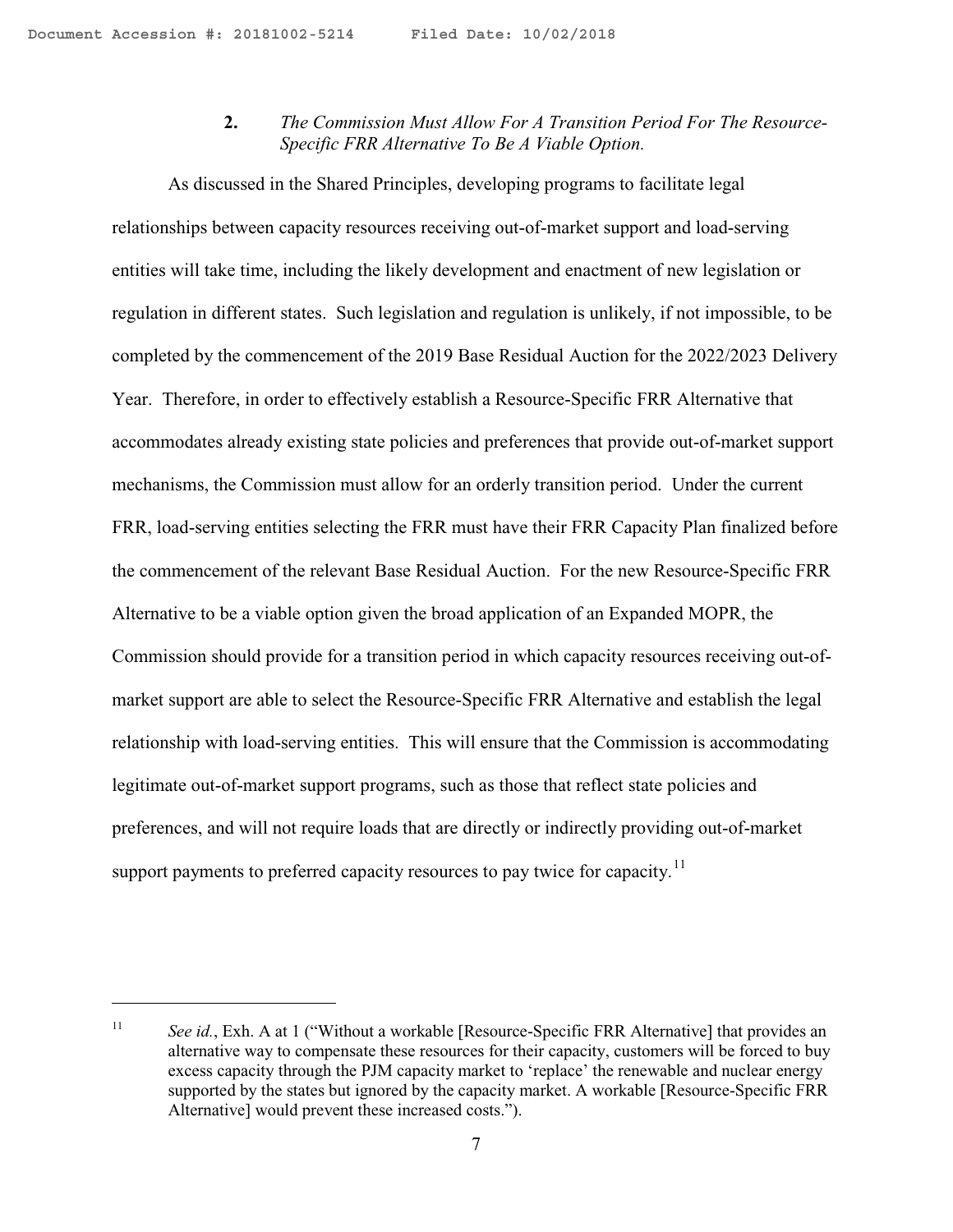**2.** *The Commission Must Allow For A Transition Period For The Resource-Specific FRR Alternative To Be A Viable Option.* 

As discussed in the Shared Principles, developing programs to facilitate legal relationships between capacity resources receiving out-of-market support and load-serving entities will take time, including the likely development and enactment of new legislation or regulation in different states. Such legislation and regulation is unlikely, if not impossible, to be completed by the commencement of the 2019 Base Residual Auction for the 2022/2023 Delivery Year. Therefore, in order to effectively establish a Resource-Specific FRR Alternative that accommodates already existing state policies and preferences that provide out-of-market support mechanisms, the Commission must allow for an orderly transition period. Under the current FRR, load-serving entities selecting the FRR must have their FRR Capacity Plan finalized before the commencement of the relevant Base Residual Auction. For the new Resource-Specific FRR Alternative to be a viable option given the broad application of an Expanded MOPR, the Commission should provide for a transition period in which capacity resources receiving out-ofmarket support are able to select the Resource-Specific FRR Alternative and establish the legal relationship with load-serving entities. This will ensure that the Commission is accommodating legitimate out-of-market support programs, such as those that reflect state policies and preferences, and will not require loads that are directly or indirectly providing out-of-market support payments to preferred capacity resources to pay twice for capacity.<sup>[11](#page-6-0)</sup>

<span id="page-6-0"></span><sup>&</sup>lt;sup>11</sup> *See id.*, Exh. A at 1 ("Without a workable [Resource-Specific FRR Alternative] that provides an alternative way to compensate these resources for their capacity, customers will be forced to buy excess capacity through the PJM capacity market to 'replace' the renewable and nuclear energy supported by the states but ignored by the capacity market. A workable [Resource-Specific FRR Alternative] would prevent these increased costs.").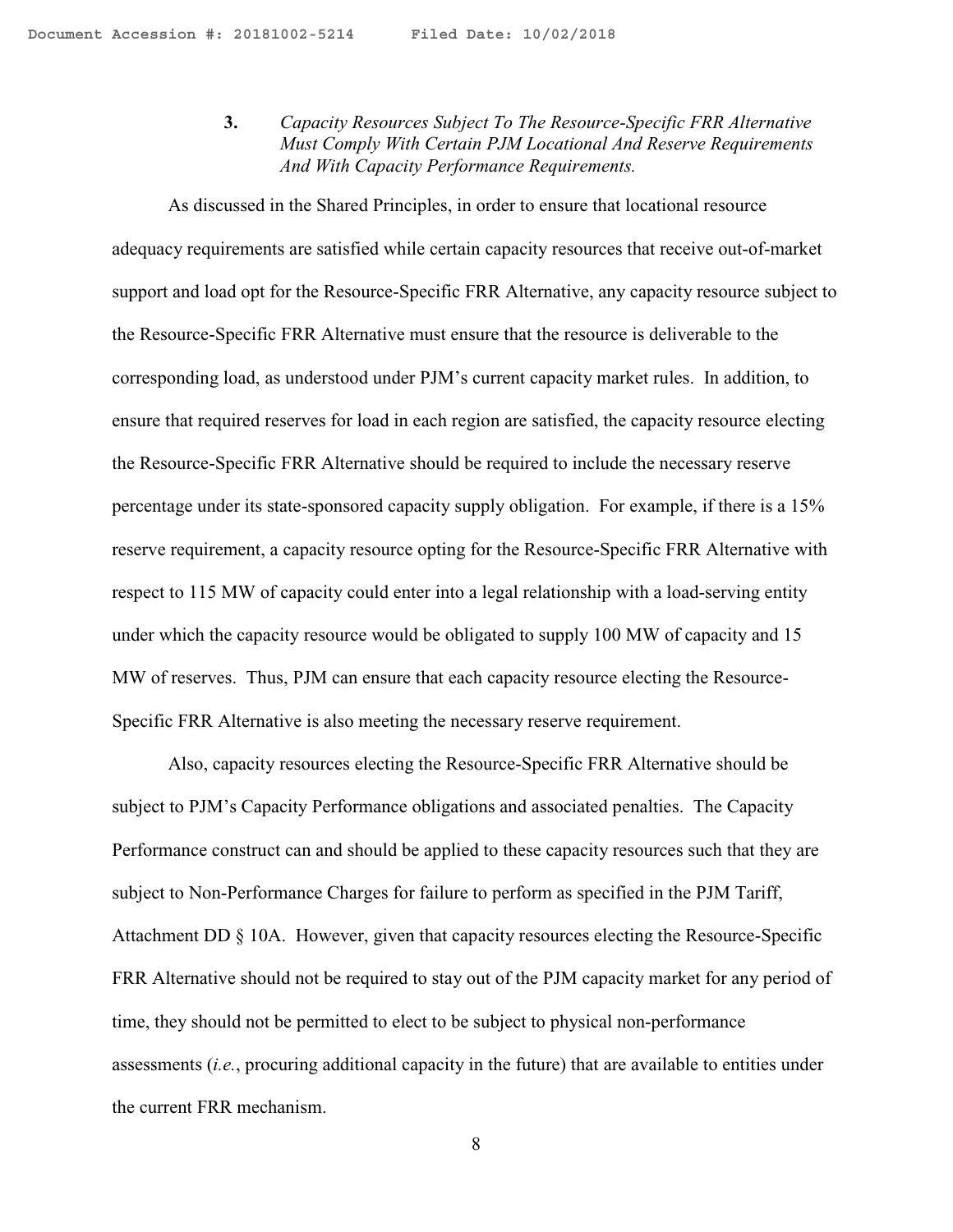**3.** *Capacity Resources Subject To The Resource-Specific FRR Alternative Must Comply With Certain PJM Locational And Reserve Requirements And With Capacity Performance Requirements.*

As discussed in the Shared Principles, in order to ensure that locational resource adequacy requirements are satisfied while certain capacity resources that receive out-of-market support and load opt for the Resource-Specific FRR Alternative, any capacity resource subject to the Resource-Specific FRR Alternative must ensure that the resource is deliverable to the corresponding load, as understood under PJM's current capacity market rules. In addition, to ensure that required reserves for load in each region are satisfied, the capacity resource electing the Resource-Specific FRR Alternative should be required to include the necessary reserve percentage under its state-sponsored capacity supply obligation. For example, if there is a 15% reserve requirement, a capacity resource opting for the Resource-Specific FRR Alternative with respect to 115 MW of capacity could enter into a legal relationship with a load-serving entity under which the capacity resource would be obligated to supply 100 MW of capacity and 15 MW of reserves. Thus, PJM can ensure that each capacity resource electing the Resource-Specific FRR Alternative is also meeting the necessary reserve requirement.

Also, capacity resources electing the Resource-Specific FRR Alternative should be subject to PJM's Capacity Performance obligations and associated penalties. The Capacity Performance construct can and should be applied to these capacity resources such that they are subject to Non-Performance Charges for failure to perform as specified in the PJM Tariff, Attachment DD § 10A. However, given that capacity resources electing the Resource-Specific FRR Alternative should not be required to stay out of the PJM capacity market for any period of time, they should not be permitted to elect to be subject to physical non-performance assessments (*i.e.*, procuring additional capacity in the future) that are available to entities under the current FRR mechanism.

8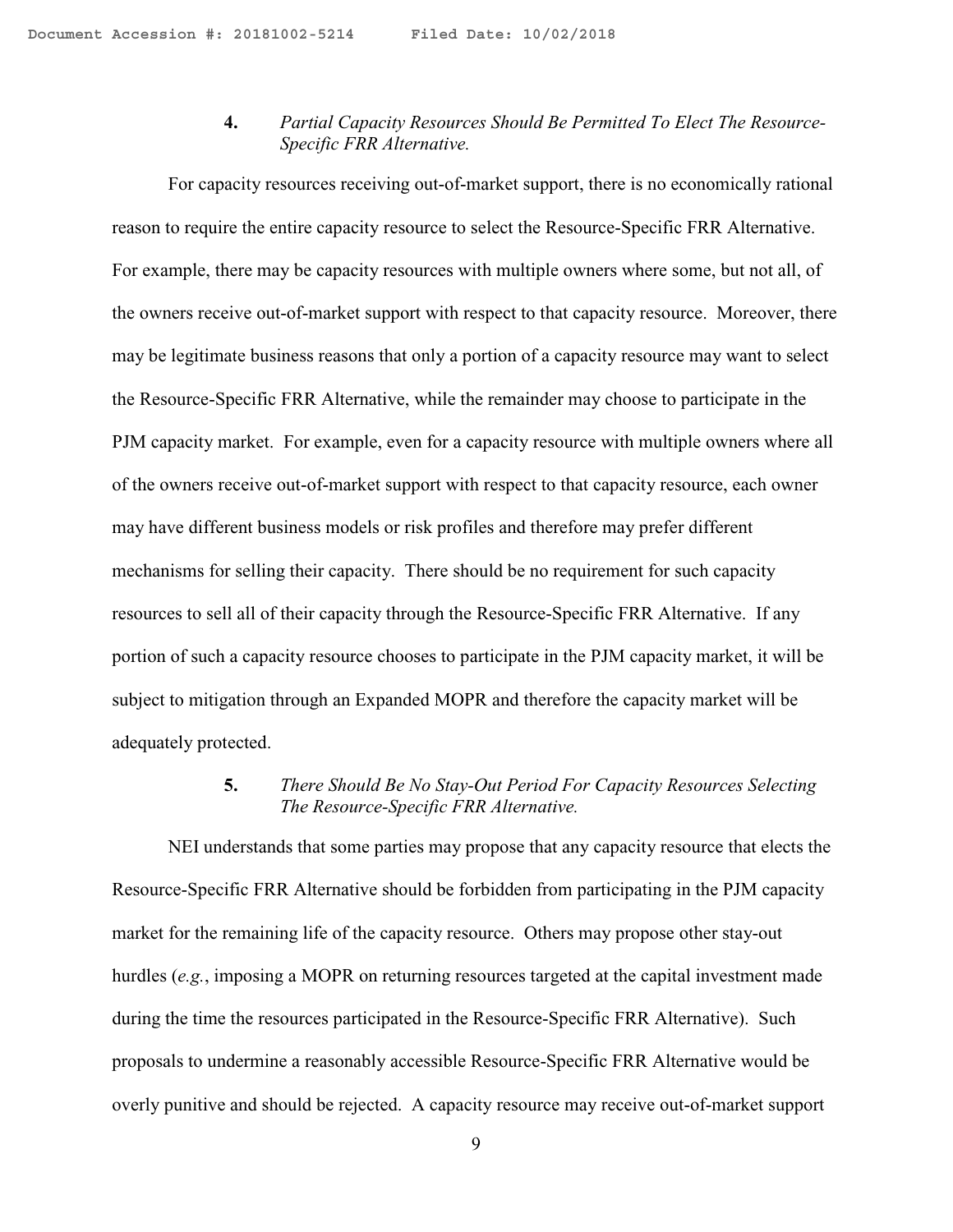## **4.** *Partial Capacity Resources Should Be Permitted To Elect The Resource-Specific FRR Alternative.*

For capacity resources receiving out-of-market support, there is no economically rational reason to require the entire capacity resource to select the Resource-Specific FRR Alternative. For example, there may be capacity resources with multiple owners where some, but not all, of the owners receive out-of-market support with respect to that capacity resource. Moreover, there may be legitimate business reasons that only a portion of a capacity resource may want to select the Resource-Specific FRR Alternative, while the remainder may choose to participate in the PJM capacity market. For example, even for a capacity resource with multiple owners where all of the owners receive out-of-market support with respect to that capacity resource, each owner may have different business models or risk profiles and therefore may prefer different mechanisms for selling their capacity. There should be no requirement for such capacity resources to sell all of their capacity through the Resource-Specific FRR Alternative. If any portion of such a capacity resource chooses to participate in the PJM capacity market, it will be subject to mitigation through an Expanded MOPR and therefore the capacity market will be adequately protected.

## **5.** *There Should Be No Stay-Out Period For Capacity Resources Selecting The Resource-Specific FRR Alternative.*

NEI understands that some parties may propose that any capacity resource that elects the Resource-Specific FRR Alternative should be forbidden from participating in the PJM capacity market for the remaining life of the capacity resource. Others may propose other stay-out hurdles (*e.g.*, imposing a MOPR on returning resources targeted at the capital investment made during the time the resources participated in the Resource-Specific FRR Alternative). Such proposals to undermine a reasonably accessible Resource-Specific FRR Alternative would be overly punitive and should be rejected. A capacity resource may receive out-of-market support

9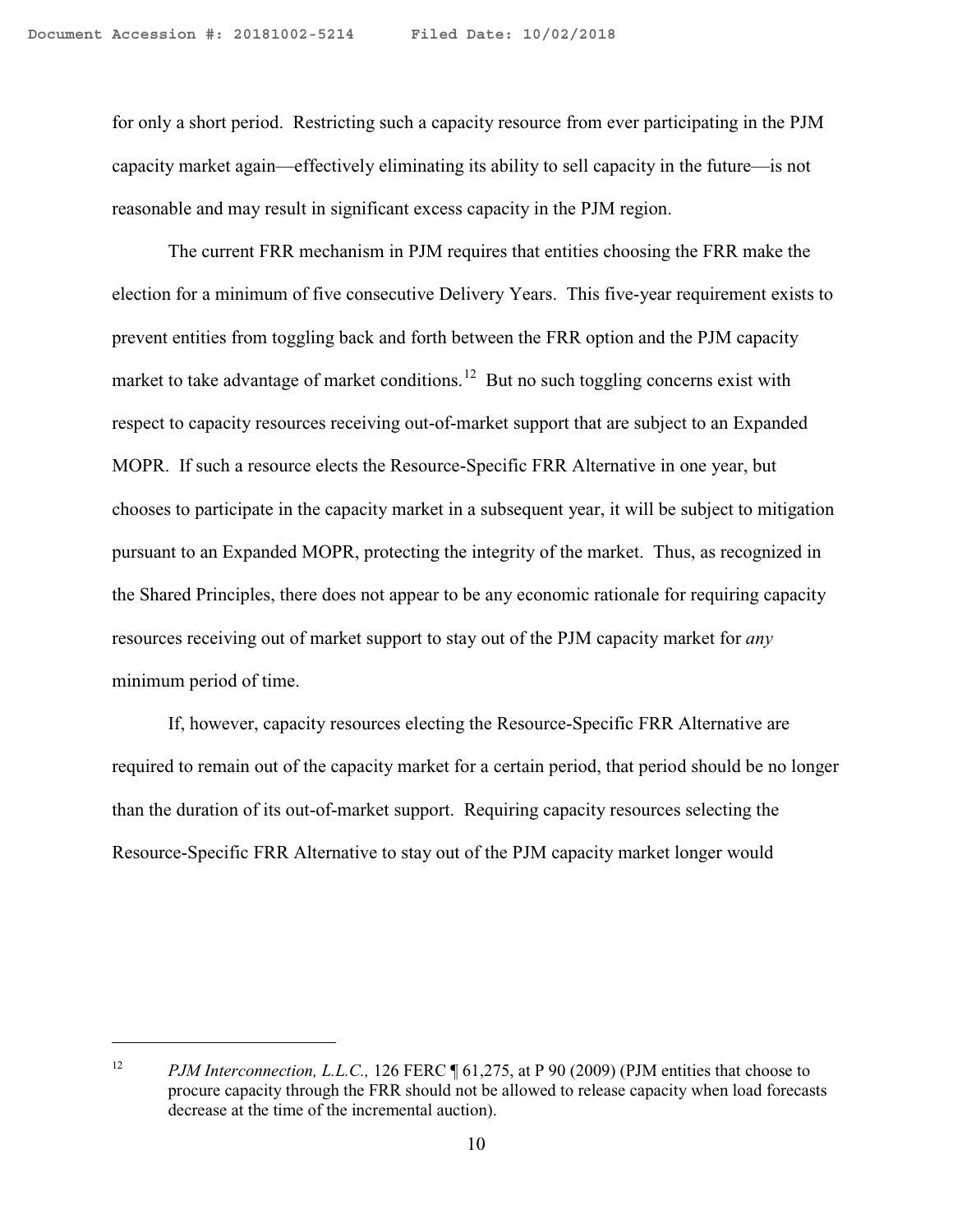for only a short period. Restricting such a capacity resource from ever participating in the PJM capacity market again—effectively eliminating its ability to sell capacity in the future—is not reasonable and may result in significant excess capacity in the PJM region.

The current FRR mechanism in PJM requires that entities choosing the FRR make the election for a minimum of five consecutive Delivery Years. This five-year requirement exists to prevent entities from toggling back and forth between the FRR option and the PJM capacity market to take advantage of market conditions.<sup>[12](#page-9-0)</sup> But no such toggling concerns exist with respect to capacity resources receiving out-of-market support that are subject to an Expanded MOPR. If such a resource elects the Resource-Specific FRR Alternative in one year, but chooses to participate in the capacity market in a subsequent year, it will be subject to mitigation pursuant to an Expanded MOPR, protecting the integrity of the market. Thus, as recognized in the Shared Principles, there does not appear to be any economic rationale for requiring capacity resources receiving out of market support to stay out of the PJM capacity market for *any*  minimum period of time.

If, however, capacity resources electing the Resource-Specific FRR Alternative are required to remain out of the capacity market for a certain period, that period should be no longer than the duration of its out-of-market support. Requiring capacity resources selecting the Resource-Specific FRR Alternative to stay out of the PJM capacity market longer would

<span id="page-9-0"></span><sup>&</sup>lt;sup>12</sup> *PJM Interconnection, L.L.C., 126 FERC* ¶ 61,275, at P 90 (2009) (PJM entities that choose to procure capacity through the FRR should not be allowed to release capacity when load forecasts decrease at the time of the incremental auction).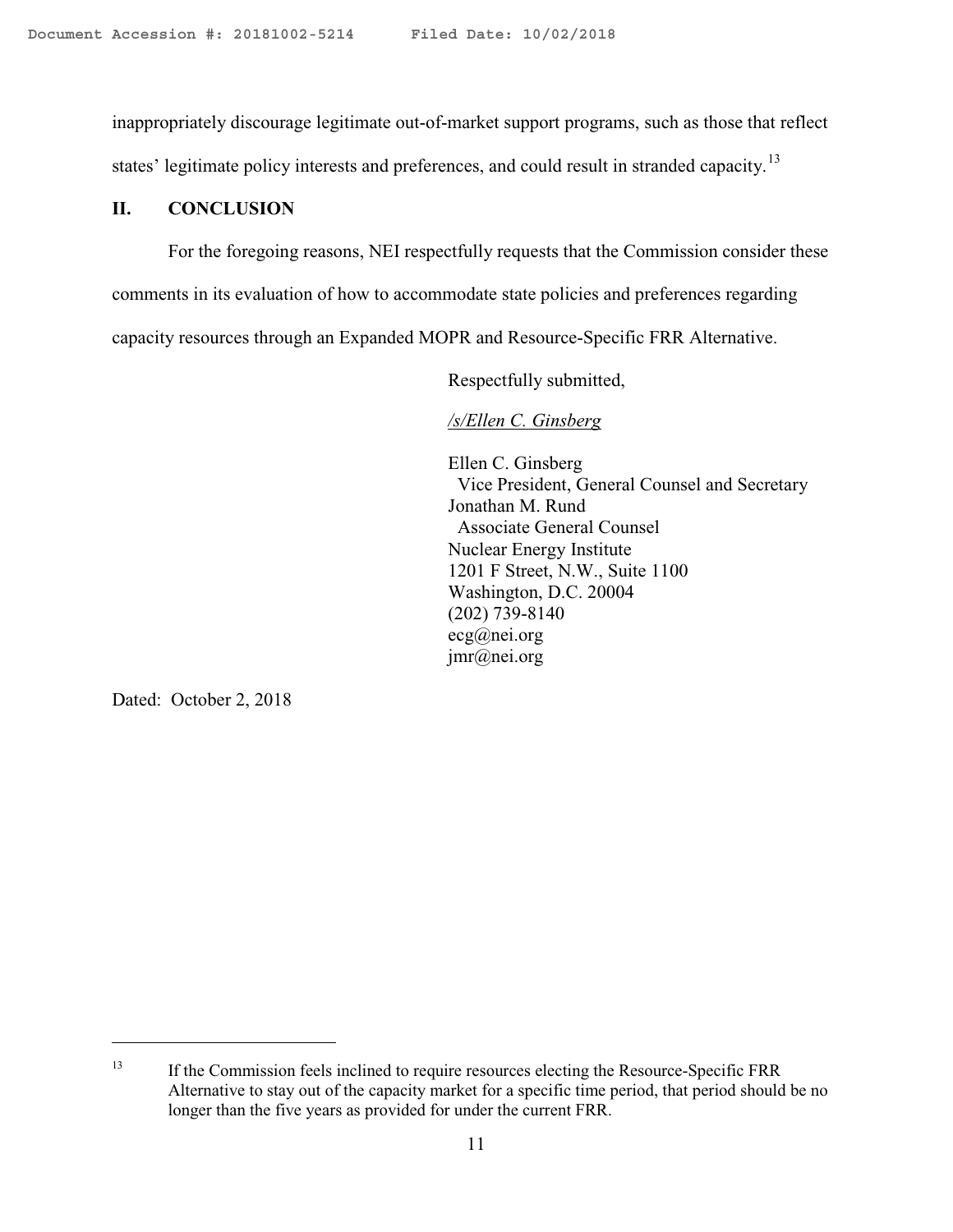inappropriately discourage legitimate out-of-market support programs, such as those that reflect

states' legitimate policy interests and preferences, and could result in stranded capacity.<sup>13</sup>

## **II. CONCLUSION**

For the foregoing reasons, NEI respectfully requests that the Commission consider these

comments in its evaluation of how to accommodate state policies and preferences regarding

capacity resources through an Expanded MOPR and Resource-Specific FRR Alternative.

Respectfully submitted,

*/s/Ellen C. Ginsberg*

Ellen C. Ginsberg Vice President, General Counsel and Secretary Jonathan M. Rund Associate General Counsel Nuclear Energy Institute 1201 F Street, N.W., Suite 1100 Washington, D.C. 20004 (202) 739-8140 ecg@nei.org jmr@nei.org

Dated: October 2, 2018

<span id="page-10-0"></span><sup>&</sup>lt;sup>13</sup> If the Commission feels inclined to require resources electing the Resource-Specific FRR Alternative to stay out of the capacity market for a specific time period, that period should be no longer than the five years as provided for under the current FRR.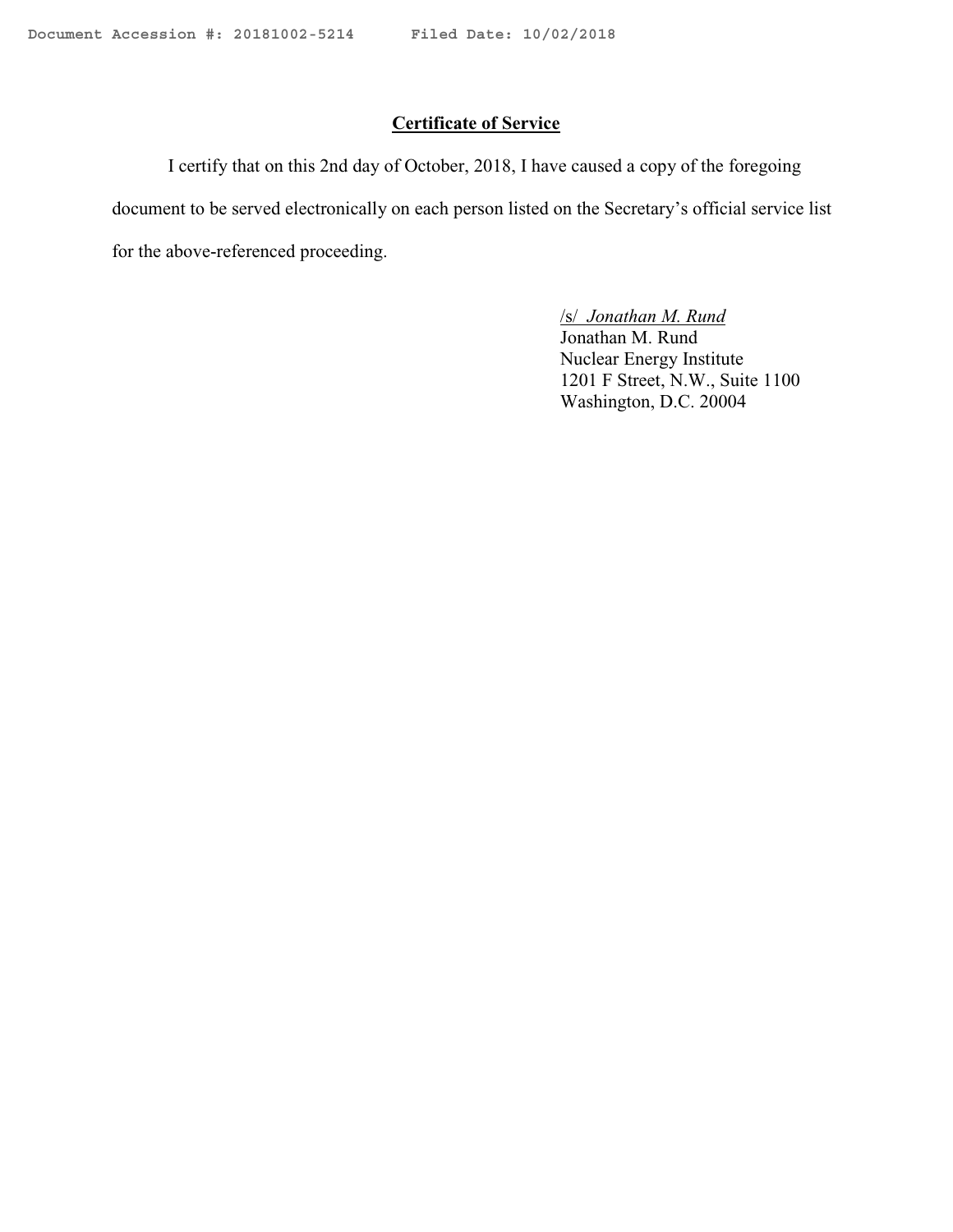# **Certificate of Service**

I certify that on this 2nd day of October, 2018, I have caused a copy of the foregoing document to be served electronically on each person listed on the Secretary's official service list for the above-referenced proceeding.

> /s/ *Jonathan M. Rund*  Jonathan M. Rund

Nuclear Energy Institute 1201 F Street, N.W., Suite 1100 Washington, D.C. 20004